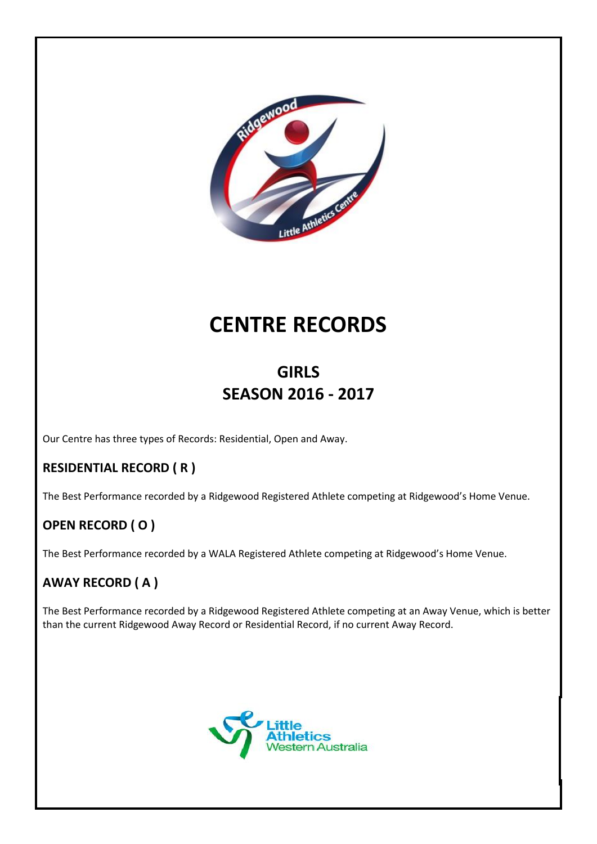

# **CENTRE RECORDS**

# **GIRLS SEASON 2016 - 2017**

Our Centre has three types of Records: Residential, Open and Away.

### **RESIDENTIAL RECORD ( R )**

The Best Performance recorded by a Ridgewood Registered Athlete competing at Ridgewood's Home Venue.

# **OPEN RECORD ( O )**

The Best Performance recorded by a WALA Registered Athlete competing at Ridgewood's Home Venue.

### **AWAY RECORD ( A )**

The Best Performance recorded by a Ridgewood Registered Athlete competing at an Away Venue, which is better than the current Ridgewood Away Record or Residential Record, if no current Away Record.

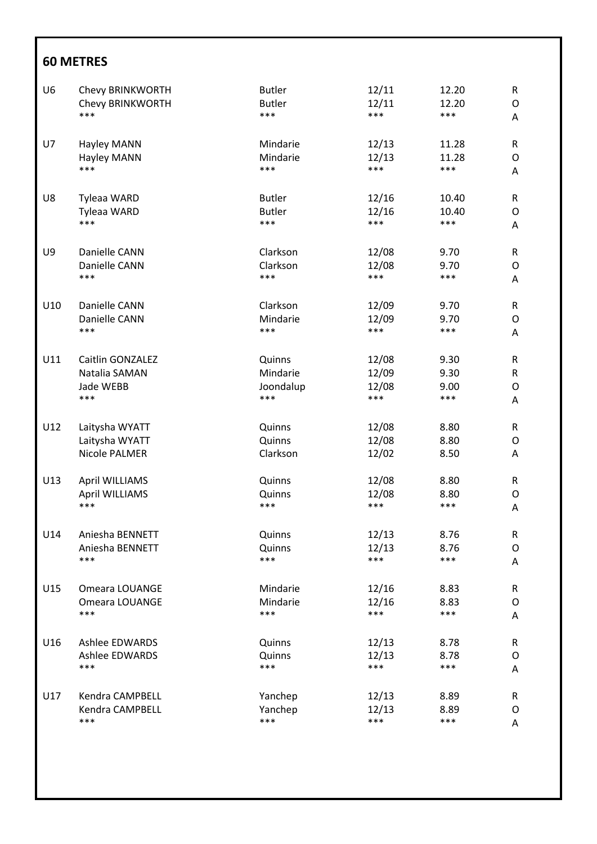| U <sub>6</sub> | Chevy BRINKWORTH        | <b>Butler</b> | 12/11 | 12.20 | ${\sf R}$   |
|----------------|-------------------------|---------------|-------|-------|-------------|
|                | Chevy BRINKWORTH        | <b>Butler</b> | 12/11 | 12.20 | O           |
|                | ***                     | ***           | ***   | ***   | A           |
| U7             | Hayley MANN             | Mindarie      | 12/13 | 11.28 | ${\sf R}$   |
|                | Hayley MANN             | Mindarie      | 12/13 | 11.28 | O           |
|                | ***                     | ***           | ***   | ***   | Α           |
| U8             | Tyleaa WARD             | <b>Butler</b> | 12/16 | 10.40 | ${\sf R}$   |
|                | Tyleaa WARD             | <b>Butler</b> | 12/16 | 10.40 | O           |
|                | ***                     | ***           | ***   | ***   | Α           |
| U9             | Danielle CANN           | Clarkson      | 12/08 | 9.70  | $\mathsf R$ |
|                | Danielle CANN           | Clarkson      | 12/08 | 9.70  | O           |
|                | ***                     | ***           | ***   | ***   | Α           |
| U10            | Danielle CANN           | Clarkson      | 12/09 | 9.70  | R           |
|                | Danielle CANN           | Mindarie      | 12/09 | 9.70  | O           |
|                | ***                     | ***           | ***   | ***   | A           |
| U11            | <b>Caitlin GONZALEZ</b> | Quinns        | 12/08 | 9.30  | ${\sf R}$   |
|                | Natalia SAMAN           | Mindarie      | 12/09 | 9.30  | R           |
|                | Jade WEBB               | Joondalup     | 12/08 | 9.00  | O           |
|                | $***$                   | ***           | ***   | ***   | Α           |
| U12            | Laitysha WYATT          | Quinns        | 12/08 | 8.80  | ${\sf R}$   |
|                | Laitysha WYATT          | Quinns        | 12/08 | 8.80  | O           |
|                | Nicole PALMER           | Clarkson      | 12/02 | 8.50  | A           |
| U13            | April WILLIAMS          | Quinns        | 12/08 | 8.80  | R           |
|                | <b>April WILLIAMS</b>   | Quinns        | 12/08 | 8.80  | O           |
|                | ***                     | ***           | ***   | ***   | Α           |
| U14            | Aniesha BENNETT         | Quinns        | 12/13 | 8.76  | ${\sf R}$   |
|                | Aniesha BENNETT         | Quinns        | 12/13 | 8.76  | O           |
|                | ***                     | ***           | ***   | ***   | Α           |
| U15            | Omeara LOUANGE          | Mindarie      | 12/16 | 8.83  | ${\sf R}$   |
|                | Omeara LOUANGE          | Mindarie      | 12/16 | 8.83  | O           |
|                | ***                     | ***           | ***   | $***$ | A           |
| U16            | <b>Ashlee EDWARDS</b>   | Quinns        | 12/13 | 8.78  | ${\sf R}$   |
|                | <b>Ashlee EDWARDS</b>   | Quinns        | 12/13 | 8.78  | O           |
|                | ***                     | ***           | ***   | $***$ | Α           |
| U17            | Kendra CAMPBELL         | Yanchep       | 12/13 | 8.89  | ${\sf R}$   |
|                | Kendra CAMPBELL         | Yanchep       | 12/13 | 8.89  | O           |
|                | ***                     | ***           | ***   | ***   | A           |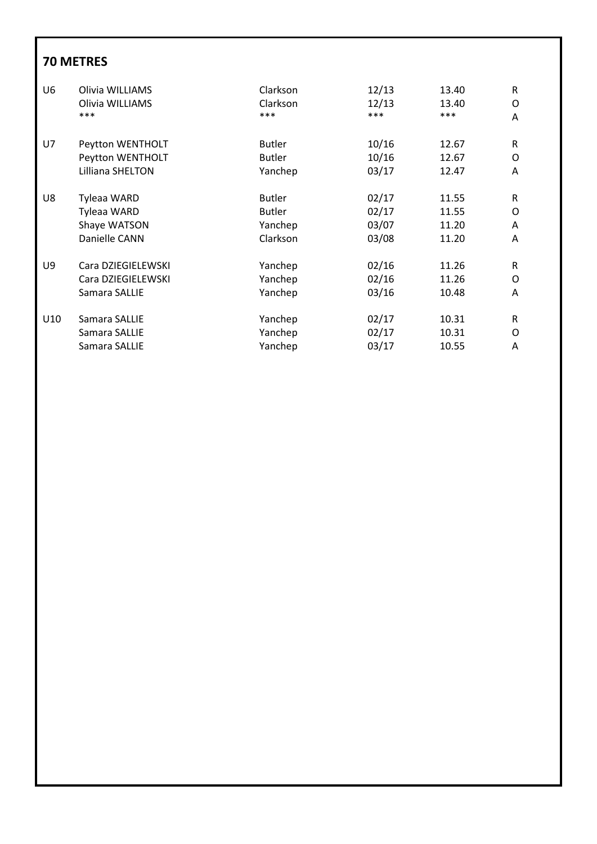| U6  | Olivia WILLIAMS    | Clarkson      | 12/13 | 13.40 | R |
|-----|--------------------|---------------|-------|-------|---|
|     | Olivia WILLIAMS    | Clarkson      | 12/13 | 13.40 | O |
|     | ***                | ***           | ***   | ***   | A |
| U7  | Peytton WENTHOLT   | <b>Butler</b> | 10/16 | 12.67 | R |
|     | Peytton WENTHOLT   | <b>Butler</b> | 10/16 | 12.67 | 0 |
|     | Lilliana SHELTON   | Yanchep       | 03/17 | 12.47 | A |
| U8  | <b>Tyleaa WARD</b> | <b>Butler</b> | 02/17 | 11.55 | R |
|     | Tyleaa WARD        | <b>Butler</b> | 02/17 | 11.55 | 0 |
|     | Shaye WATSON       | Yanchep       | 03/07 | 11.20 | A |
|     | Danielle CANN      | Clarkson      | 03/08 | 11.20 | A |
| U9  | Cara DZIEGIELEWSKI | Yanchep       | 02/16 | 11.26 | R |
|     | Cara DZIEGIELEWSKI | Yanchep       | 02/16 | 11.26 | O |
|     | Samara SALLIE      | Yanchep       | 03/16 | 10.48 | A |
| U10 | Samara SALLIE      | Yanchep       | 02/17 | 10.31 | R |
|     | Samara SALLIE      | Yanchep       | 02/17 | 10.31 | O |
|     | Samara SALLIE      | Yanchep       | 03/17 | 10.55 | A |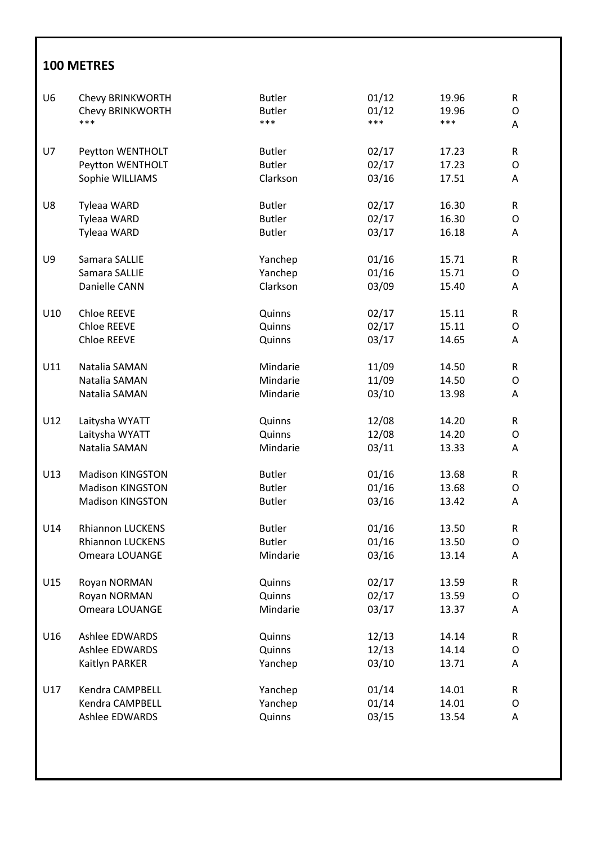| U <sub>6</sub> | Chevy BRINKWORTH        | <b>Butler</b> | 01/12 | 19.96 | $\mathsf R$ |
|----------------|-------------------------|---------------|-------|-------|-------------|
|                | Chevy BRINKWORTH        | <b>Butler</b> | 01/12 | 19.96 | $\mathsf O$ |
|                | ***                     | ***           | ***   | ***   | Α           |
| U7             | Peytton WENTHOLT        | <b>Butler</b> | 02/17 | 17.23 | R           |
|                | Peytton WENTHOLT        | <b>Butler</b> | 02/17 | 17.23 | $\mathsf O$ |
|                | Sophie WILLIAMS         | Clarkson      | 03/16 | 17.51 | Α           |
|                |                         |               |       |       |             |
| U8             | Tyleaa WARD             | <b>Butler</b> | 02/17 | 16.30 | R           |
|                | Tyleaa WARD             | <b>Butler</b> | 02/17 | 16.30 | O           |
|                | Tyleaa WARD             | <b>Butler</b> | 03/17 | 16.18 | Α           |
| U9             | Samara SALLIE           | Yanchep       | 01/16 | 15.71 | R           |
|                | Samara SALLIE           | Yanchep       | 01/16 | 15.71 | O           |
|                | Danielle CANN           | Clarkson      | 03/09 | 15.40 | A           |
| U10            | <b>Chloe REEVE</b>      | Quinns        | 02/17 | 15.11 | R           |
|                | Chloe REEVE             | Quinns        | 02/17 | 15.11 | O           |
|                | <b>Chloe REEVE</b>      | Quinns        | 03/17 | 14.65 | Α           |
|                |                         |               |       |       |             |
| U11            | Natalia SAMAN           | Mindarie      | 11/09 | 14.50 | R           |
|                | Natalia SAMAN           | Mindarie      | 11/09 | 14.50 | O           |
|                | Natalia SAMAN           | Mindarie      | 03/10 | 13.98 | A           |
| U12            | Laitysha WYATT          | Quinns        | 12/08 | 14.20 | R           |
|                | Laitysha WYATT          | Quinns        | 12/08 | 14.20 | O           |
|                | Natalia SAMAN           | Mindarie      | 03/11 | 13.33 | A           |
| U13            | <b>Madison KINGSTON</b> | <b>Butler</b> | 01/16 | 13.68 | R           |
|                | <b>Madison KINGSTON</b> | <b>Butler</b> | 01/16 | 13.68 | O           |
|                | <b>Madison KINGSTON</b> | <b>Butler</b> | 03/16 | 13.42 | Α           |
|                |                         |               |       |       |             |
| U14            | <b>Rhiannon LUCKENS</b> | <b>Butler</b> | 01/16 | 13.50 | ${\sf R}$   |
|                | <b>Rhiannon LUCKENS</b> | <b>Butler</b> | 01/16 | 13.50 | O           |
|                | Omeara LOUANGE          | Mindarie      | 03/16 | 13.14 | Α           |
| U15            | Royan NORMAN            | Quinns        | 02/17 | 13.59 | ${\sf R}$   |
|                | Royan NORMAN            | Quinns        | 02/17 | 13.59 | O           |
|                | Omeara LOUANGE          | Mindarie      | 03/17 | 13.37 | A           |
| U16            | <b>Ashlee EDWARDS</b>   | Quinns        | 12/13 | 14.14 | R           |
|                | <b>Ashlee EDWARDS</b>   | Quinns        | 12/13 | 14.14 | O           |
|                | Kaitlyn PARKER          | Yanchep       | 03/10 | 13.71 | A           |
| U17            | Kendra CAMPBELL         | Yanchep       | 01/14 | 14.01 | ${\sf R}$   |
|                | Kendra CAMPBELL         | Yanchep       | 01/14 | 14.01 | O           |
|                | Ashlee EDWARDS          | Quinns        | 03/15 | 13.54 | A           |
|                |                         |               |       |       |             |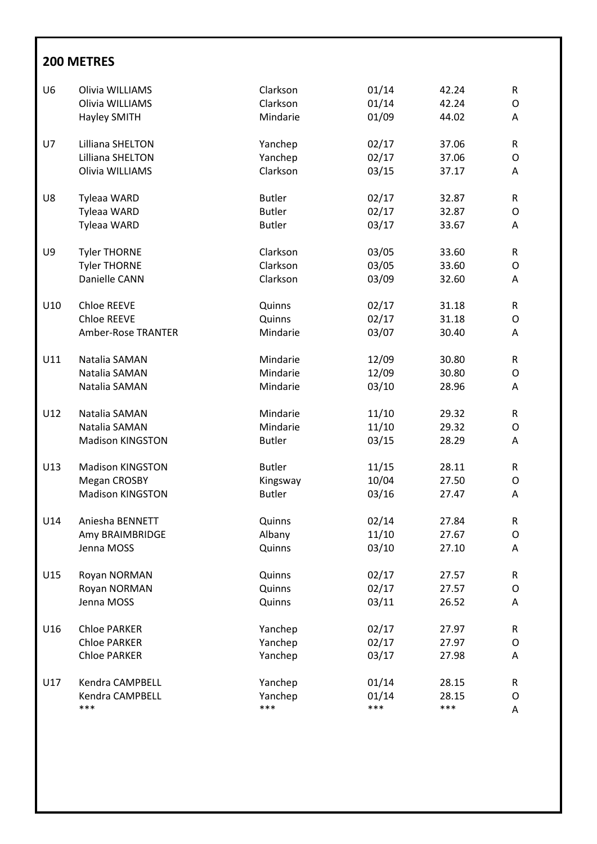| U <sub>6</sub> | Olivia WILLIAMS           | Clarkson      | 01/14 | 42.24 | ${\sf R}$ |
|----------------|---------------------------|---------------|-------|-------|-----------|
|                | Olivia WILLIAMS           | Clarkson      | 01/14 | 42.24 | O         |
|                | <b>Hayley SMITH</b>       | Mindarie      | 01/09 | 44.02 | A         |
| U7             | Lilliana SHELTON          | Yanchep       | 02/17 | 37.06 | ${\sf R}$ |
|                | Lilliana SHELTON          | Yanchep       | 02/17 | 37.06 | 0         |
|                | Olivia WILLIAMS           | Clarkson      | 03/15 | 37.17 | Α         |
| U8             | Tyleaa WARD               | <b>Butler</b> | 02/17 | 32.87 | R         |
|                | Tyleaa WARD               | <b>Butler</b> | 02/17 | 32.87 | O         |
|                | Tyleaa WARD               | <b>Butler</b> | 03/17 | 33.67 | Α         |
| U9             | <b>Tyler THORNE</b>       | Clarkson      | 03/05 | 33.60 | R         |
|                | <b>Tyler THORNE</b>       | Clarkson      | 03/05 | 33.60 | O         |
|                | Danielle CANN             | Clarkson      | 03/09 | 32.60 | Α         |
| U10            | Chloe REEVE               | Quinns        | 02/17 | 31.18 | R         |
|                | Chloe REEVE               | Quinns        | 02/17 | 31.18 | O         |
|                | <b>Amber-Rose TRANTER</b> | Mindarie      | 03/07 | 30.40 | A         |
| U11            | Natalia SAMAN             | Mindarie      | 12/09 | 30.80 | ${\sf R}$ |
|                | Natalia SAMAN             | Mindarie      | 12/09 | 30.80 | 0         |
|                | Natalia SAMAN             | Mindarie      | 03/10 | 28.96 | A         |
| U12            | Natalia SAMAN             | Mindarie      | 11/10 | 29.32 | R         |
|                | Natalia SAMAN             | Mindarie      | 11/10 | 29.32 | O         |
|                | <b>Madison KINGSTON</b>   | <b>Butler</b> | 03/15 | 28.29 | A         |
| U13            | <b>Madison KINGSTON</b>   | <b>Butler</b> | 11/15 | 28.11 | ${\sf R}$ |
|                | Megan CROSBY              | Kingsway      | 10/04 | 27.50 | 0         |
|                | <b>Madison KINGSTON</b>   | <b>Butler</b> | 03/16 | 27.47 | Α         |
| U14            | Aniesha BENNETT           | Quinns        | 02/14 | 27.84 | R         |
|                | Amy BRAIMBRIDGE           | Albany        | 11/10 | 27.67 | O         |
|                | Jenna MOSS                | Quinns        | 03/10 | 27.10 | A         |
| U15            | Royan NORMAN              | Quinns        | 02/17 | 27.57 | R         |
|                | Royan NORMAN              | Quinns        | 02/17 | 27.57 | 0         |
|                | Jenna MOSS                | Quinns        | 03/11 | 26.52 | A         |
| U16            | <b>Chloe PARKER</b>       | Yanchep       | 02/17 | 27.97 | R         |
|                | <b>Chloe PARKER</b>       | Yanchep       | 02/17 | 27.97 | 0         |
|                | <b>Chloe PARKER</b>       | Yanchep       | 03/17 | 27.98 | A         |
| U17            | Kendra CAMPBELL           | Yanchep       | 01/14 | 28.15 | R         |
|                | Kendra CAMPBELL           | Yanchep       | 01/14 | 28.15 | 0         |
|                | ***                       | ***           | ***   | ***   | Α         |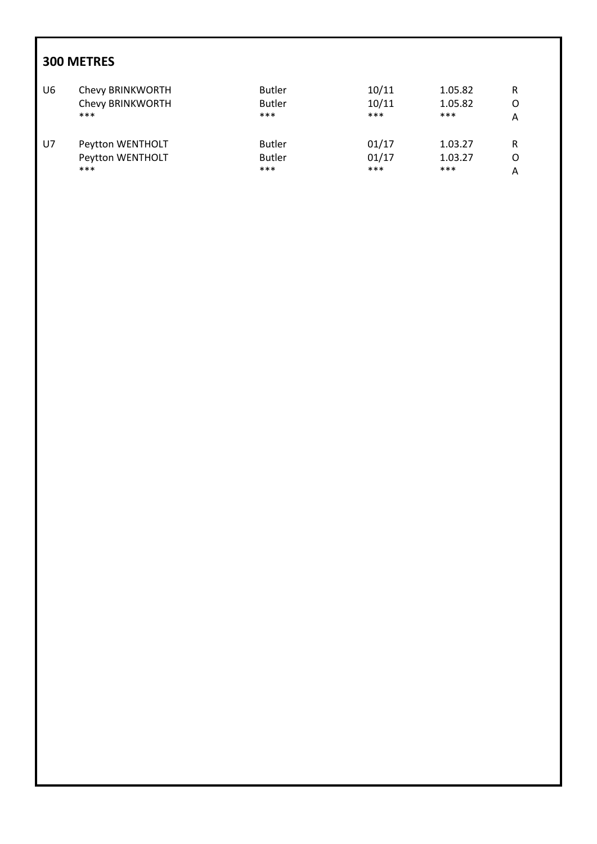| U6 | Chevy BRINKWORTH | <b>Butler</b> | 10/11 | 1.05.82 | R |
|----|------------------|---------------|-------|---------|---|
|    | Chevy BRINKWORTH | <b>Butler</b> | 10/11 | 1.05.82 | O |
|    | $***$            | ***           | ***   | $***$   | А |
| U7 | Peytton WENTHOLT | <b>Butler</b> | 01/17 | 1.03.27 | R |
|    | Peytton WENTHOLT | <b>Butler</b> | 01/17 | 1.03.27 | O |
|    | $***$            | ***           | ***   | ***     | Α |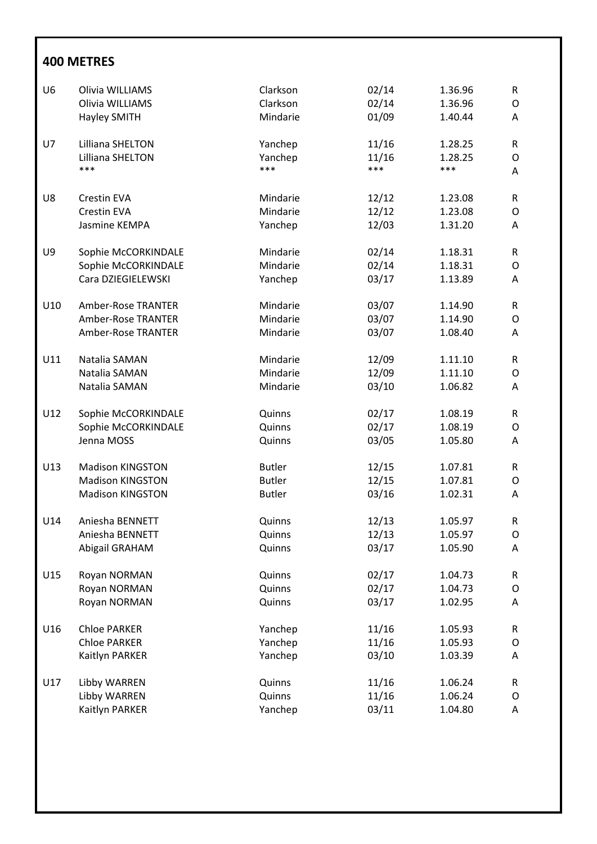| U <sub>6</sub> | Olivia WILLIAMS         | Clarkson      | 02/14 | 1.36.96 | R         |
|----------------|-------------------------|---------------|-------|---------|-----------|
|                | Olivia WILLIAMS         | Clarkson      | 02/14 | 1.36.96 | O         |
|                | <b>Hayley SMITH</b>     | Mindarie      | 01/09 | 1.40.44 | А         |
|                |                         |               |       |         |           |
| U7             | Lilliana SHELTON        | Yanchep       | 11/16 | 1.28.25 | R         |
|                | Lilliana SHELTON        | Yanchep       | 11/16 | 1.28.25 | O         |
|                | ***                     | ***           | ***   | ***     | A         |
| U8             | Crestin EVA             | Mindarie      | 12/12 | 1.23.08 | R         |
|                | Crestin EVA             | Mindarie      | 12/12 | 1.23.08 | O         |
|                | Jasmine KEMPA           |               | 12/03 |         |           |
|                |                         | Yanchep       |       | 1.31.20 | A         |
| U9             | Sophie McCORKINDALE     | Mindarie      | 02/14 | 1.18.31 | ${\sf R}$ |
|                | Sophie McCORKINDALE     | Mindarie      | 02/14 | 1.18.31 | O         |
|                | Cara DZIEGIELEWSKI      | Yanchep       | 03/17 | 1.13.89 | Α         |
|                |                         |               |       |         |           |
| U10            | Amber-Rose TRANTER      | Mindarie      | 03/07 | 1.14.90 | R         |
|                | Amber-Rose TRANTER      | Mindarie      | 03/07 | 1.14.90 | O         |
|                | Amber-Rose TRANTER      | Mindarie      | 03/07 | 1.08.40 | A         |
| U11            | Natalia SAMAN           | Mindarie      | 12/09 | 1.11.10 | R         |
|                | Natalia SAMAN           | Mindarie      | 12/09 | 1.11.10 | O         |
|                | Natalia SAMAN           | Mindarie      | 03/10 | 1.06.82 | Α         |
|                |                         |               |       |         |           |
| U12            | Sophie McCORKINDALE     | Quinns        | 02/17 | 1.08.19 | R         |
|                | Sophie McCORKINDALE     | Quinns        | 02/17 | 1.08.19 | O         |
|                | Jenna MOSS              | Quinns        | 03/05 | 1.05.80 | А         |
| U13            | <b>Madison KINGSTON</b> | <b>Butler</b> | 12/15 | 1.07.81 | R         |
|                | <b>Madison KINGSTON</b> | <b>Butler</b> | 12/15 | 1.07.81 | O         |
|                | <b>Madison KINGSTON</b> | <b>Butler</b> | 03/16 | 1.02.31 | Α         |
|                |                         |               |       |         |           |
| U14            | Aniesha BENNETT         | Quinns        | 12/13 | 1.05.97 | R         |
|                | Aniesha BENNETT         | Quinns        | 12/13 | 1.05.97 | O         |
|                | Abigail GRAHAM          | Quinns        | 03/17 | 1.05.90 | А         |
| U15            | Royan NORMAN            | Quinns        | 02/17 | 1.04.73 | ${\sf R}$ |
|                |                         | Quinns        | 02/17 | 1.04.73 |           |
|                | Royan NORMAN            |               |       |         | O         |
|                | Royan NORMAN            | Quinns        | 03/17 | 1.02.95 | Α         |
| U16            | <b>Chloe PARKER</b>     | Yanchep       | 11/16 | 1.05.93 | R         |
|                | <b>Chloe PARKER</b>     | Yanchep       | 11/16 | 1.05.93 | O         |
|                | Kaitlyn PARKER          | Yanchep       | 03/10 | 1.03.39 | A         |
|                |                         |               |       |         |           |
| U17            | Libby WARREN            | Quinns        | 11/16 | 1.06.24 | ${\sf R}$ |
|                | Libby WARREN            | Quinns        | 11/16 | 1.06.24 | O         |
|                | Kaitlyn PARKER          | Yanchep       | 03/11 | 1.04.80 | Α         |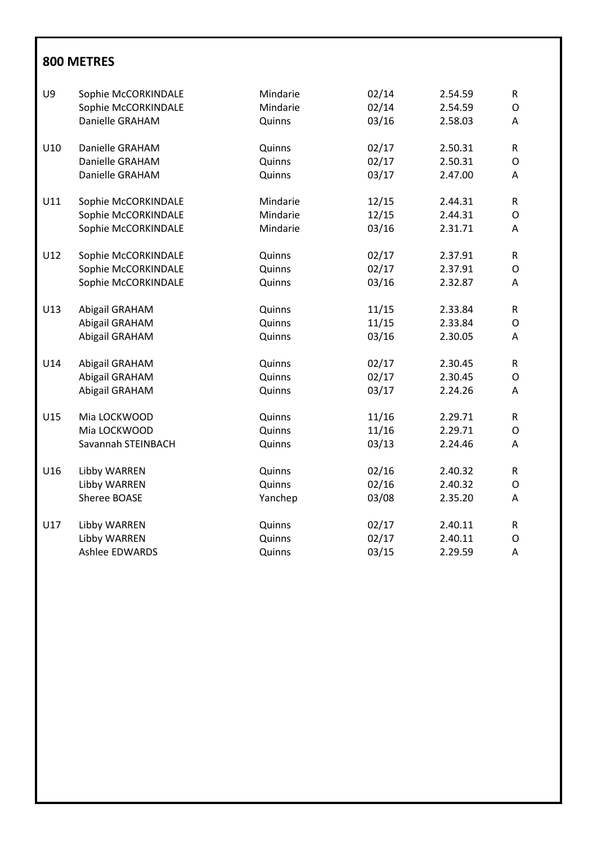| U9  | Sophie McCORKINDALE<br>Sophie McCORKINDALE | Mindarie<br>Mindarie | 02/14<br>02/14 | 2.54.59<br>2.54.59 | $\mathsf R$<br>$\mathsf O$ |
|-----|--------------------------------------------|----------------------|----------------|--------------------|----------------------------|
|     | Danielle GRAHAM                            | Quinns               | 03/16          | 2.58.03            | A                          |
| U10 | Danielle GRAHAM                            | Quinns               | 02/17          | 2.50.31            | R                          |
|     | Danielle GRAHAM                            | Quinns               | 02/17          | 2.50.31            | O                          |
|     | Danielle GRAHAM                            | Quinns               | 03/17          | 2.47.00            | Α                          |
| U11 | Sophie McCORKINDALE                        | Mindarie             | 12/15          | 2.44.31            | R                          |
|     | Sophie McCORKINDALE                        | Mindarie             | 12/15          | 2.44.31            | O                          |
|     | Sophie McCORKINDALE                        | Mindarie             | 03/16          | 2.31.71            | Α                          |
| U12 | Sophie McCORKINDALE                        | Quinns               | 02/17          | 2.37.91            | R                          |
|     | Sophie McCORKINDALE                        | Quinns               | 02/17          | 2.37.91            | O                          |
|     | Sophie McCORKINDALE                        | Quinns               | 03/16          | 2.32.87            | A                          |
| U13 | Abigail GRAHAM                             | Quinns               | 11/15          | 2.33.84            | $\mathsf{R}$               |
|     | Abigail GRAHAM                             | Quinns               | 11/15          | 2.33.84            | O                          |
|     | Abigail GRAHAM                             | Quinns               | 03/16          | 2.30.05            | A                          |
| U14 | Abigail GRAHAM                             | Quinns               | 02/17          | 2.30.45            | R                          |
|     | Abigail GRAHAM                             | Quinns               | 02/17          | 2.30.45            | O                          |
|     | Abigail GRAHAM                             | Quinns               | 03/17          | 2.24.26            | Α                          |
| U15 | Mia LOCKWOOD                               | Quinns               | 11/16          | 2.29.71            | R                          |
|     | Mia LOCKWOOD                               | Quinns               | 11/16          | 2.29.71            | O                          |
|     | Savannah STEINBACH                         | Quinns               | 03/13          | 2.24.46            | A                          |
| U16 | Libby WARREN                               | Quinns               | 02/16          | 2.40.32            | R                          |
|     | Libby WARREN                               | Quinns               | 02/16          | 2.40.32            | O                          |
|     | Sheree BOASE                               | Yanchep              | 03/08          | 2.35.20            | Α                          |
| U17 | Libby WARREN                               | Quinns               | 02/17          | 2.40.11            | R                          |
|     | Libby WARREN                               | Quinns               | 02/17          | 2.40.11            | O                          |
|     | <b>Ashlee EDWARDS</b>                      | Quinns               | 03/15          | 2.29.59            | Α                          |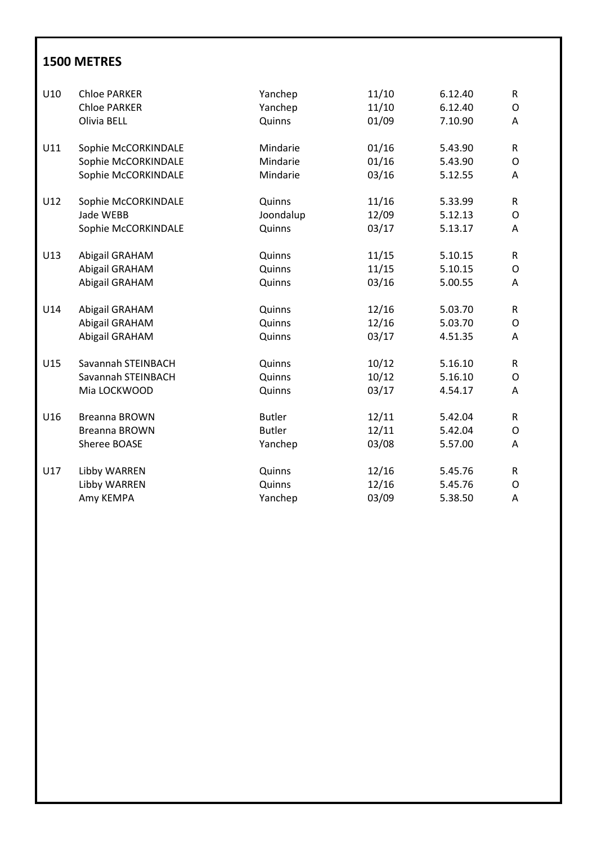| U10 | <b>Chloe PARKER</b> | Yanchep       | 11/10 | 6.12.40 | $\mathsf R$  |
|-----|---------------------|---------------|-------|---------|--------------|
|     | <b>Chloe PARKER</b> | Yanchep       | 11/10 | 6.12.40 | 0            |
|     | Olivia BELL         | Quinns        | 01/09 | 7.10.90 | A            |
| U11 | Sophie McCORKINDALE | Mindarie      | 01/16 | 5.43.90 | R            |
|     | Sophie McCORKINDALE | Mindarie      | 01/16 | 5.43.90 | O            |
|     | Sophie McCORKINDALE | Mindarie      | 03/16 | 5.12.55 | A            |
| U12 | Sophie McCORKINDALE | Quinns        | 11/16 | 5.33.99 | $\mathsf{R}$ |
|     | Jade WEBB           | Joondalup     | 12/09 | 5.12.13 | O            |
|     | Sophie McCORKINDALE | Quinns        | 03/17 | 5.13.17 | A            |
| U13 | Abigail GRAHAM      | Quinns        | 11/15 | 5.10.15 | $\mathsf{R}$ |
|     | Abigail GRAHAM      | Quinns        | 11/15 | 5.10.15 | O            |
|     | Abigail GRAHAM      | Quinns        | 03/16 | 5.00.55 | A            |
| U14 | Abigail GRAHAM      | Quinns        | 12/16 | 5.03.70 | R            |
|     | Abigail GRAHAM      | Quinns        | 12/16 | 5.03.70 | O            |
|     | Abigail GRAHAM      | Quinns        | 03/17 | 4.51.35 | A            |
| U15 | Savannah STEINBACH  | Quinns        | 10/12 | 5.16.10 | R            |
|     | Savannah STEINBACH  | Quinns        | 10/12 | 5.16.10 | O            |
|     | Mia LOCKWOOD        | Quinns        | 03/17 | 4.54.17 | A            |
| U16 | Breanna BROWN       | <b>Butler</b> | 12/11 | 5.42.04 | R            |
|     | Breanna BROWN       | <b>Butler</b> | 12/11 | 5.42.04 | O            |
|     | Sheree BOASE        | Yanchep       | 03/08 | 5.57.00 | A            |
| U17 | Libby WARREN        | Quinns        | 12/16 | 5.45.76 | R            |
|     | Libby WARREN        | Quinns        | 12/16 | 5.45.76 | O            |
|     | Amy KEMPA           | Yanchep       | 03/09 | 5.38.50 | A            |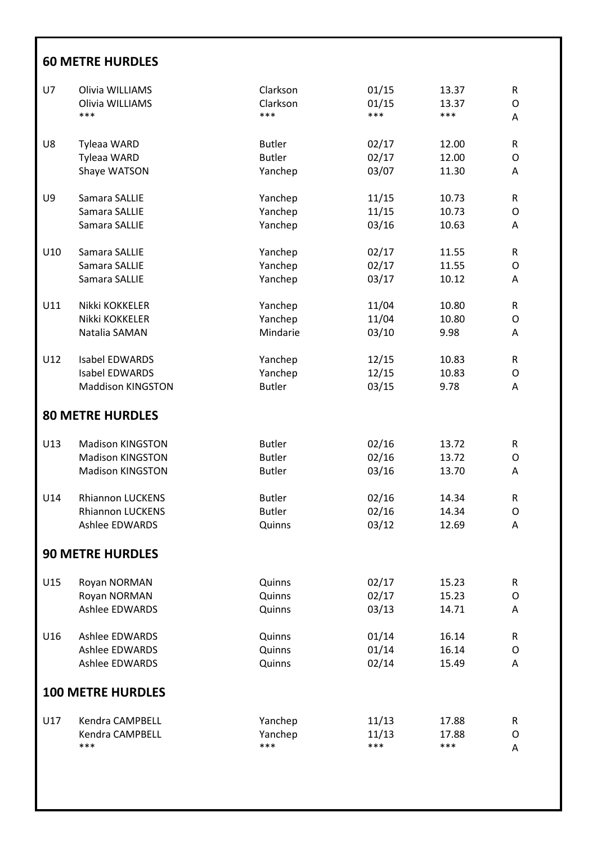#### **60 METRE HURDLES**

| U7  | Olivia WILLIAMS          | Clarkson      | 01/15 | 13.37 | R |
|-----|--------------------------|---------------|-------|-------|---|
|     | Olivia WILLIAMS          | Clarkson      | 01/15 | 13.37 | O |
|     | ***                      | ***           | ***   | ***   | Α |
| U8  | <b>Tyleaa WARD</b>       | <b>Butler</b> | 02/17 | 12.00 | R |
|     | Tyleaa WARD              | <b>Butler</b> | 02/17 | 12.00 | O |
|     | Shaye WATSON             | Yanchep       | 03/07 | 11.30 | Α |
| U9  | Samara SALLIE            | Yanchep       | 11/15 | 10.73 | R |
|     | Samara SALLIE            | Yanchep       | 11/15 | 10.73 | O |
|     | Samara SALLIE            | Yanchep       | 03/16 | 10.63 | Α |
| U10 | Samara SALLIE            | Yanchep       | 02/17 | 11.55 | R |
|     | Samara SALLIE            | Yanchep       | 02/17 | 11.55 | O |
|     | Samara SALLIE            | Yanchep       | 03/17 | 10.12 | Α |
| U11 | Nikki KOKKELER           | Yanchep       | 11/04 | 10.80 | R |
|     | Nikki KOKKELER           | Yanchep       | 11/04 | 10.80 | O |
|     | Natalia SAMAN            | Mindarie      | 03/10 | 9.98  | Α |
| U12 | <b>Isabel EDWARDS</b>    | Yanchep       | 12/15 | 10.83 | R |
|     | Isabel EDWARDS           | Yanchep       | 12/15 | 10.83 | O |
|     | <b>Maddison KINGSTON</b> | <b>Butler</b> | 03/15 | 9.78  | Α |
|     | <b>80 METRE HURDLES</b>  |               |       |       |   |
| U13 | <b>Madison KINGSTON</b>  | <b>Butler</b> | 02/16 | 13.72 | R |
|     | <b>Madison KINGSTON</b>  | <b>Butler</b> | 02/16 | 13.72 | 0 |
|     | <b>Madison KINGSTON</b>  | <b>Butler</b> | 03/16 | 13.70 | Α |
| U14 | <b>Rhiannon LUCKENS</b>  | <b>Butler</b> | 02/16 | 14.34 | R |
|     | <b>Rhiannon LUCKENS</b>  | <b>Butler</b> | 02/16 | 14.34 | O |
|     | <b>Ashlee EDWARDS</b>    | Quinns        | 03/12 | 12.69 | Α |
|     | <b>90 METRE HURDLES</b>  |               |       |       |   |
| U15 | Royan NORMAN             | Quinns        | 02/17 | 15.23 | R |
|     | Royan NORMAN             | Quinns        | 02/17 | 15.23 | O |
|     | <b>Ashlee EDWARDS</b>    | Quinns        | 03/13 | 14.71 | Α |
| U16 | <b>Ashlee EDWARDS</b>    | Quinns        | 01/14 | 16.14 | R |
|     | <b>Ashlee EDWARDS</b>    | Quinns        | 01/14 | 16.14 | O |
|     | <b>Ashlee EDWARDS</b>    | Quinns        | 02/14 | 15.49 | Α |
|     | <b>100 METRE HURDLES</b> |               |       |       |   |
| U17 | Kendra CAMPBELL          | Yanchep       | 11/13 | 17.88 | R |
|     | Kendra CAMPBELL          | Yanchep       | 11/13 | 17.88 | O |
|     | ***                      | ***           | ***   | ***   | Α |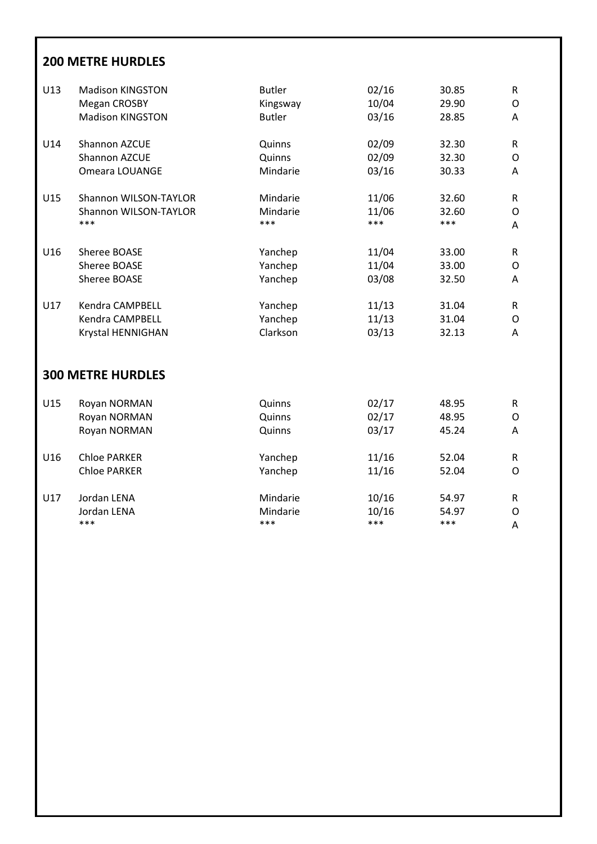# **200 METRE HURDLES**

| U13 | <b>Madison KINGSTON</b>  | <b>Butler</b> | 02/16 | 30.85 | $\mathsf{R}$ |
|-----|--------------------------|---------------|-------|-------|--------------|
|     | Megan CROSBY             | Kingsway      | 10/04 | 29.90 | O            |
|     | <b>Madison KINGSTON</b>  | <b>Butler</b> | 03/16 | 28.85 | A            |
| U14 | Shannon AZCUE            | Quinns        | 02/09 | 32.30 | $\mathsf{R}$ |
|     | Shannon AZCUE            | Quinns        | 02/09 | 32.30 | O            |
|     | Omeara LOUANGE           | Mindarie      | 03/16 | 30.33 | A            |
| U15 | Shannon WILSON-TAYLOR    | Mindarie      | 11/06 | 32.60 | R            |
|     | Shannon WILSON-TAYLOR    | Mindarie      | 11/06 | 32.60 | O            |
|     | ***                      | ***           | ***   | ***   | A            |
| U16 | Sheree BOASE             | Yanchep       | 11/04 | 33.00 | $\mathsf{R}$ |
|     | Sheree BOASE             | Yanchep       | 11/04 | 33.00 | 0            |
|     | Sheree BOASE             | Yanchep       | 03/08 | 32.50 | A            |
| U17 | Kendra CAMPBELL          | Yanchep       | 11/13 | 31.04 | $\mathsf{R}$ |
|     | Kendra CAMPBELL          | Yanchep       | 11/13 | 31.04 | O            |
|     | Krystal HENNIGHAN        | Clarkson      | 03/13 | 32.13 | Α            |
|     | <b>300 METRE HURDLES</b> |               |       |       |              |
| U15 | Royan NORMAN             | Quinns        | 02/17 | 48.95 | $\mathsf{R}$ |
|     | Royan NORMAN             | Quinns        | 02/17 | 48.95 | 0            |
|     | Royan NORMAN             | Quinns        | 03/17 | 45.24 | Α            |
| U16 | <b>Chloe PARKER</b>      | Yanchep       | 11/16 | 52.04 | $\mathsf{R}$ |
|     | <b>Chloe PARKER</b>      | Yanchep       | 11/16 | 52.04 | $\circ$      |
| U17 | Jordan LENA              | Mindarie      | 10/16 | 54.97 | R            |
|     | Jordan LENA              | Mindarie      | 10/16 | 54.97 | $\circ$      |
|     | ***                      | ***           | ***   | ***   | Α            |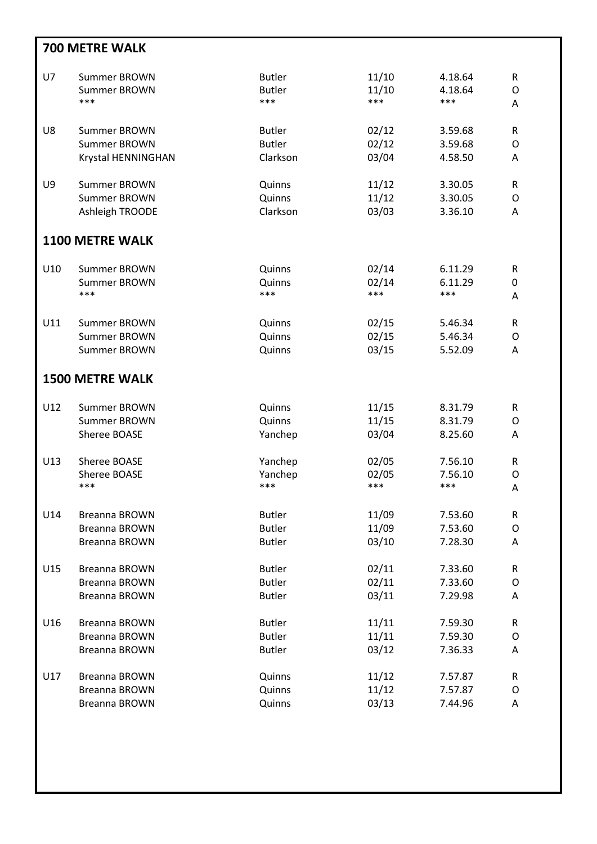|     | <b>700 METRE WALK</b>  |               |       |         |              |  |  |  |
|-----|------------------------|---------------|-------|---------|--------------|--|--|--|
| U7  | Summer BROWN           | <b>Butler</b> | 11/10 | 4.18.64 | R            |  |  |  |
|     | Summer BROWN           | <b>Butler</b> | 11/10 | 4.18.64 | O            |  |  |  |
|     | ***                    | ***           | ***   | ***     | Α            |  |  |  |
| U8  | Summer BROWN           | <b>Butler</b> | 02/12 | 3.59.68 | R            |  |  |  |
|     | Summer BROWN           | <b>Butler</b> | 02/12 | 3.59.68 | $\mathsf{O}$ |  |  |  |
|     | Krystal HENNINGHAN     | Clarkson      | 03/04 | 4.58.50 | Α            |  |  |  |
| U9  | Summer BROWN           | Quinns        | 11/12 | 3.30.05 | R            |  |  |  |
|     | Summer BROWN           | Quinns        | 11/12 | 3.30.05 | $\circ$      |  |  |  |
|     | Ashleigh TROODE        | Clarkson      | 03/03 | 3.36.10 | Α            |  |  |  |
|     | <b>1100 METRE WALK</b> |               |       |         |              |  |  |  |
| U10 | Summer BROWN           | Quinns        | 02/14 | 6.11.29 | ${\sf R}$    |  |  |  |
|     | Summer BROWN           | Quinns        | 02/14 | 6.11.29 | 0            |  |  |  |
|     | ***                    | ***           | ***   | ***     | Α            |  |  |  |
| U11 | Summer BROWN           | Quinns        | 02/15 | 5.46.34 | R            |  |  |  |
|     | Summer BROWN           | Quinns        | 02/15 | 5.46.34 | $\mathsf O$  |  |  |  |
|     | Summer BROWN           | Quinns        | 03/15 | 5.52.09 | Α            |  |  |  |
|     | <b>1500 METRE WALK</b> |               |       |         |              |  |  |  |
| U12 | Summer BROWN           | Quinns        | 11/15 | 8.31.79 | R            |  |  |  |
|     | Summer BROWN           | Quinns        | 11/15 | 8.31.79 | $\mathsf{O}$ |  |  |  |
|     | Sheree BOASE           | Yanchep       | 03/04 | 8.25.60 | Α            |  |  |  |
| U13 | Sheree BOASE           | Yanchep       | 02/05 | 7.56.10 | R            |  |  |  |
|     | Sheree BOASE           | Yanchep       | 02/05 | 7.56.10 | O            |  |  |  |
|     | ***                    | ***           | ***   | ***     | A            |  |  |  |
| U14 | <b>Breanna BROWN</b>   | <b>Butler</b> | 11/09 | 7.53.60 | R            |  |  |  |
|     | <b>Breanna BROWN</b>   | <b>Butler</b> | 11/09 | 7.53.60 | $\mathsf O$  |  |  |  |
|     | Breanna BROWN          | <b>Butler</b> | 03/10 | 7.28.30 | Α            |  |  |  |
| U15 | Breanna BROWN          | <b>Butler</b> | 02/11 | 7.33.60 | ${\sf R}$    |  |  |  |
|     | <b>Breanna BROWN</b>   | <b>Butler</b> | 02/11 | 7.33.60 | O            |  |  |  |
|     | Breanna BROWN          | <b>Butler</b> | 03/11 | 7.29.98 | Α            |  |  |  |
| U16 | <b>Breanna BROWN</b>   | <b>Butler</b> | 11/11 | 7.59.30 | R            |  |  |  |
|     | <b>Breanna BROWN</b>   | <b>Butler</b> | 11/11 | 7.59.30 | $\mathsf O$  |  |  |  |
|     | Breanna BROWN          | <b>Butler</b> | 03/12 | 7.36.33 | Α            |  |  |  |
| U17 | Breanna BROWN          | Quinns        | 11/12 | 7.57.87 | R            |  |  |  |
|     | <b>Breanna BROWN</b>   | Quinns        | 11/12 | 7.57.87 | O            |  |  |  |
|     | <b>Breanna BROWN</b>   | Quinns        | 03/13 | 7.44.96 | Α            |  |  |  |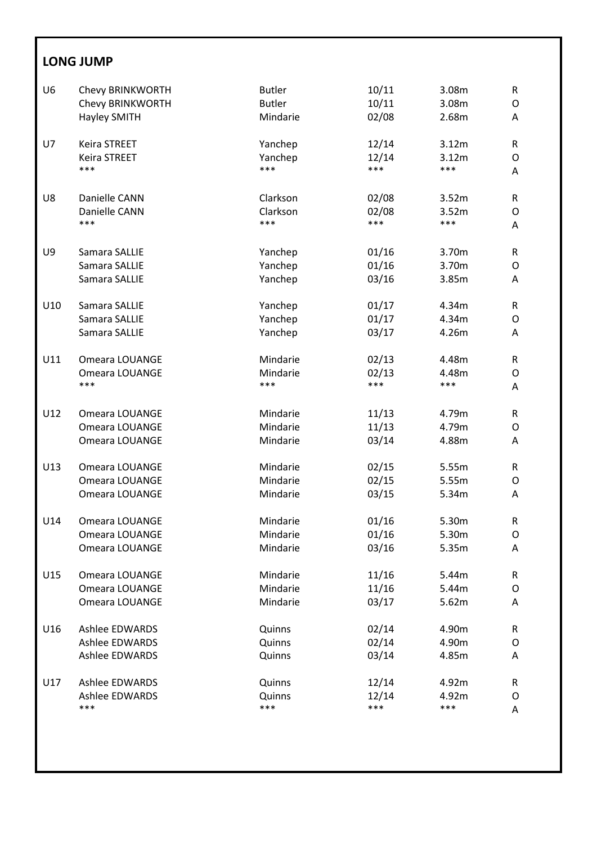# **LONG JUMP**

| U <sub>6</sub> | Chevy BRINKWORTH      | <b>Butler</b> | 10/11 | 3.08m | R |
|----------------|-----------------------|---------------|-------|-------|---|
|                | Chevy BRINKWORTH      | <b>Butler</b> | 10/11 | 3.08m | O |
|                | <b>Hayley SMITH</b>   | Mindarie      | 02/08 | 2.68m | Α |
| U7             | Keira STREET          | Yanchep       | 12/14 | 3.12m | R |
|                | <b>Keira STREET</b>   | Yanchep       | 12/14 | 3.12m | O |
|                | ***                   | ***           | ***   | ***   | A |
| U8             | Danielle CANN         | Clarkson      | 02/08 | 3.52m | R |
|                | Danielle CANN         | Clarkson      | 02/08 | 3.52m | O |
|                | ***                   | ***           | ***   | ***   | A |
| U9             | Samara SALLIE         | Yanchep       | 01/16 | 3.70m | R |
|                | Samara SALLIE         | Yanchep       | 01/16 | 3.70m | O |
|                | Samara SALLIE         | Yanchep       | 03/16 | 3.85m | A |
| U10            | Samara SALLIE         | Yanchep       | 01/17 | 4.34m | R |
|                | Samara SALLIE         | Yanchep       | 01/17 | 4.34m | O |
|                | Samara SALLIE         | Yanchep       | 03/17 | 4.26m | A |
| U11            | Omeara LOUANGE        | Mindarie      | 02/13 | 4.48m | R |
|                | Omeara LOUANGE        | Mindarie      | 02/13 | 4.48m | O |
|                | ***                   | ***           | ***   | ***   | Α |
| U12            | Omeara LOUANGE        | Mindarie      | 11/13 | 4.79m | R |
|                | Omeara LOUANGE        | Mindarie      | 11/13 | 4.79m | O |
|                | Omeara LOUANGE        | Mindarie      | 03/14 | 4.88m | A |
| U13            | Omeara LOUANGE        | Mindarie      | 02/15 | 5.55m | R |
|                | Omeara LOUANGE        | Mindarie      | 02/15 | 5.55m | O |
|                | Omeara LOUANGE        | Mindarie      | 03/15 | 5.34m | Α |
| U14            | Omeara LOUANGE        | Mindarie      | 01/16 | 5.30m | R |
|                | Omeara LOUANGE        | Mindarie      | 01/16 | 5.30m | O |
|                | Omeara LOUANGE        | Mindarie      | 03/16 | 5.35m | A |
| U15            | Omeara LOUANGE        | Mindarie      | 11/16 | 5.44m | R |
|                | Omeara LOUANGE        | Mindarie      | 11/16 | 5.44m | O |
|                | Omeara LOUANGE        | Mindarie      | 03/17 | 5.62m | Α |
| U16            | <b>Ashlee EDWARDS</b> | Quinns        | 02/14 | 4.90m | R |
|                | <b>Ashlee EDWARDS</b> | Quinns        | 02/14 | 4.90m | 0 |
|                | Ashlee EDWARDS        | Quinns        | 03/14 | 4.85m | Α |
| U17            | <b>Ashlee EDWARDS</b> | Quinns        | 12/14 | 4.92m | R |
|                | <b>Ashlee EDWARDS</b> | Quinns        | 12/14 | 4.92m | O |
|                | ***                   | ***           | ***   | ***   | Α |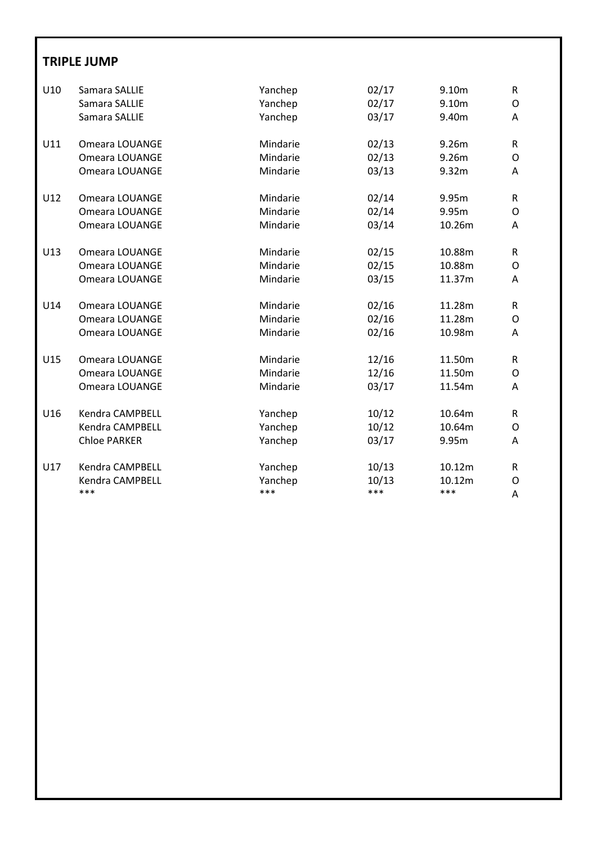#### **TRIPLE JUMP**

| U10 | Samara SALLIE          | Yanchep  | 02/17 | 9.10m  | $\mathsf{R}$ |
|-----|------------------------|----------|-------|--------|--------------|
|     | Samara SALLIE          | Yanchep  | 02/17 | 9.10m  | O            |
|     | Samara SALLIE          | Yanchep  | 03/17 | 9.40m  | A            |
| U11 | Omeara LOUANGE         | Mindarie | 02/13 | 9.26m  | $\mathsf{R}$ |
|     | Omeara LOUANGE         | Mindarie | 02/13 | 9.26m  | O            |
|     | Omeara LOUANGE         | Mindarie | 03/13 | 9.32m  | A            |
| U12 | Omeara LOUANGE         | Mindarie | 02/14 | 9.95m  | R            |
|     | Omeara LOUANGE         | Mindarie | 02/14 | 9.95m  | O            |
|     | Omeara LOUANGE         | Mindarie | 03/14 | 10.26m | A            |
| U13 | Omeara LOUANGE         | Mindarie | 02/15 | 10.88m | R            |
|     | Omeara LOUANGE         | Mindarie | 02/15 | 10.88m | 0            |
|     | Omeara LOUANGE         | Mindarie | 03/15 | 11.37m | A            |
| U14 | Omeara LOUANGE         | Mindarie | 02/16 | 11.28m | $\mathsf{R}$ |
|     | Omeara LOUANGE         | Mindarie | 02/16 | 11.28m | O            |
|     | Omeara LOUANGE         | Mindarie | 02/16 | 10.98m | A            |
| U15 | Omeara LOUANGE         | Mindarie | 12/16 | 11.50m | $\mathsf{R}$ |
|     | Omeara LOUANGE         | Mindarie | 12/16 | 11.50m | O            |
|     | Omeara LOUANGE         | Mindarie | 03/17 | 11.54m | A            |
| U16 | <b>Kendra CAMPBELL</b> | Yanchep  | 10/12 | 10.64m | R.           |
|     | Kendra CAMPBELL        | Yanchep  | 10/12 | 10.64m | O            |
|     | <b>Chloe PARKER</b>    | Yanchep  | 03/17 | 9.95m  | A            |
| U17 | Kendra CAMPBELL        | Yanchep  | 10/13 | 10.12m | R            |
|     | Kendra CAMPBELL        | Yanchep  | 10/13 | 10.12m | O            |
|     | ***                    | ***      | ***   | ***    | Α            |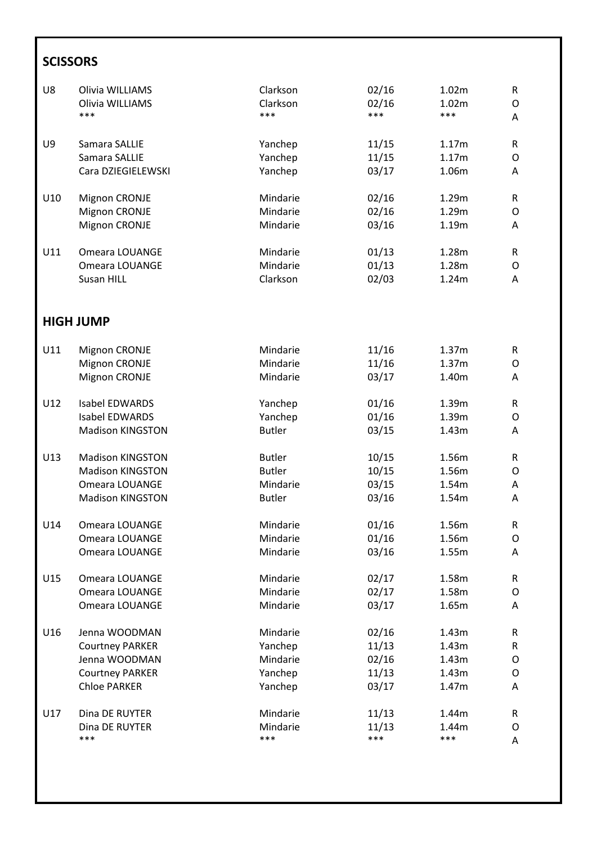# **SCISSORS**

| U8  | Olivia WILLIAMS         | Clarkson      | 02/16 | 1.02m | R           |
|-----|-------------------------|---------------|-------|-------|-------------|
|     | Olivia WILLIAMS         | Clarkson      | 02/16 | 1.02m | O           |
|     | ***                     | ***           | ***   | ***   | A           |
| U9  | Samara SALLIE           | Yanchep       | 11/15 | 1.17m | R           |
|     | Samara SALLIE           | Yanchep       | 11/15 | 1.17m | 0           |
|     | Cara DZIEGIELEWSKI      | Yanchep       | 03/17 | 1.06m | A           |
| U10 | Mignon CRONJE           | Mindarie      | 02/16 | 1.29m | R           |
|     | Mignon CRONJE           | Mindarie      | 02/16 | 1.29m | O           |
|     | Mignon CRONJE           | Mindarie      | 03/16 | 1.19m | A           |
| U11 | Omeara LOUANGE          | Mindarie      | 01/13 | 1.28m | $\mathsf R$ |
|     | Omeara LOUANGE          | Mindarie      | 01/13 | 1.28m | O           |
|     | Susan HILL              | Clarkson      | 02/03 | 1.24m | A           |
|     | <b>HIGH JUMP</b>        |               |       |       |             |
| U11 | Mignon CRONJE           | Mindarie      | 11/16 | 1.37m | R           |
|     | <b>Mignon CRONJE</b>    | Mindarie      | 11/16 | 1.37m | O           |
|     | Mignon CRONJE           | Mindarie      | 03/17 | 1.40m | A           |
| U12 | <b>Isabel EDWARDS</b>   | Yanchep       | 01/16 | 1.39m | R           |
|     | <b>Isabel EDWARDS</b>   | Yanchep       | 01/16 | 1.39m | O           |
|     | <b>Madison KINGSTON</b> | <b>Butler</b> | 03/15 | 1.43m | A           |
| U13 | <b>Madison KINGSTON</b> | <b>Butler</b> | 10/15 | 1.56m | R           |
|     | <b>Madison KINGSTON</b> | <b>Butler</b> | 10/15 | 1.56m | O           |
|     | Omeara LOUANGE          | Mindarie      | 03/15 | 1.54m | Α           |
|     | <b>Madison KINGSTON</b> | <b>Butler</b> | 03/16 | 1.54m | A           |
| U14 | Omeara LOUANGE          | Mindarie      | 01/16 | 1.56m | R           |
|     | Omeara LOUANGE          | Mindarie      | 01/16 | 1.56m | O           |
|     | Omeara LOUANGE          | Mindarie      | 03/16 | 1.55m | Α           |
| U15 | Omeara LOUANGE          | Mindarie      | 02/17 | 1.58m | R           |
|     | Omeara LOUANGE          | Mindarie      | 02/17 | 1.58m | O           |
|     | Omeara LOUANGE          | Mindarie      | 03/17 | 1.65m | Α           |
| U16 | Jenna WOODMAN           | Mindarie      | 02/16 | 1.43m | R           |
|     | <b>Courtney PARKER</b>  | Yanchep       | 11/13 | 1.43m | R           |
|     | Jenna WOODMAN           | Mindarie      | 02/16 | 1.43m | 0           |
|     | <b>Courtney PARKER</b>  | Yanchep       | 11/13 | 1.43m | 0           |
|     | <b>Chloe PARKER</b>     | Yanchep       | 03/17 | 1.47m | Α           |
| U17 | Dina DE RUYTER          | Mindarie      | 11/13 | 1.44m | R           |
|     | Dina DE RUYTER          | Mindarie      | 11/13 | 1.44m | 0           |
|     | ***                     | ***           | ***   | ***   | A           |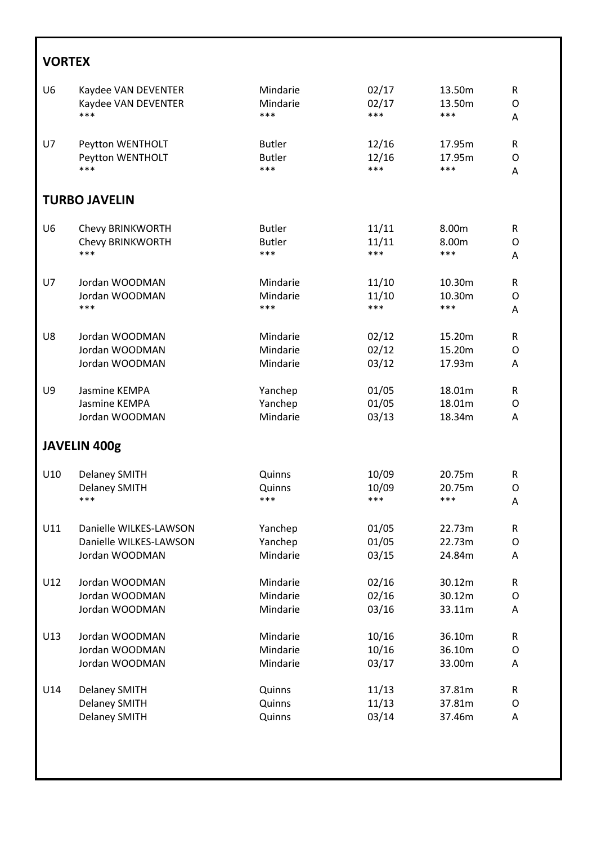# **VORTEX**

| U <sub>6</sub> | Kaydee VAN DEVENTER    | Mindarie      | 02/17 | 13.50m | ${\sf R}$ |  |  |
|----------------|------------------------|---------------|-------|--------|-----------|--|--|
|                | Kaydee VAN DEVENTER    | Mindarie      | 02/17 | 13.50m | O         |  |  |
|                | ***                    | ***           | ***   | ***    | A         |  |  |
| U7             | Peytton WENTHOLT       | <b>Butler</b> | 12/16 | 17.95m | R         |  |  |
|                | Peytton WENTHOLT       | <b>Butler</b> | 12/16 | 17.95m | O         |  |  |
|                | ***                    | ***           | ***   | ***    | A         |  |  |
|                | <b>TURBO JAVELIN</b>   |               |       |        |           |  |  |
| U <sub>6</sub> | Chevy BRINKWORTH       | <b>Butler</b> | 11/11 | 8.00m  | ${\sf R}$ |  |  |
|                | Chevy BRINKWORTH       | <b>Butler</b> | 11/11 | 8.00m  | O         |  |  |
|                | ***                    | ***           | ***   | ***    | A         |  |  |
| U7             | Jordan WOODMAN         | Mindarie      | 11/10 | 10.30m | R         |  |  |
|                | Jordan WOODMAN         | Mindarie      | 11/10 | 10.30m | O         |  |  |
|                | ***                    | ***           | ***   | ***    | A         |  |  |
| U8             | Jordan WOODMAN         | Mindarie      | 02/12 | 15.20m | R         |  |  |
|                | Jordan WOODMAN         | Mindarie      | 02/12 | 15.20m | O         |  |  |
|                | Jordan WOODMAN         | Mindarie      | 03/12 | 17.93m | A         |  |  |
| U9             | Jasmine KEMPA          | Yanchep       | 01/05 | 18.01m | R         |  |  |
|                | Jasmine KEMPA          | Yanchep       | 01/05 | 18.01m | O         |  |  |
|                | Jordan WOODMAN         | Mindarie      | 03/13 | 18.34m | Α         |  |  |
| JAVELIN 400g   |                        |               |       |        |           |  |  |
| U10            | <b>Delaney SMITH</b>   | Quinns        | 10/09 | 20.75m | R         |  |  |
|                | <b>Delaney SMITH</b>   | Quinns        | 10/09 | 20.75m | O         |  |  |
|                | ***                    | ***           | ***   | ***    | A         |  |  |
| U11            | Danielle WILKES-LAWSON | Yanchep       | 01/05 | 22.73m | $\sf R$   |  |  |
|                | Danielle WILKES-LAWSON | Yanchep       | 01/05 | 22.73m | O         |  |  |
|                | Jordan WOODMAN         | Mindarie      | 03/15 | 24.84m | A         |  |  |
| U12            | Jordan WOODMAN         | Mindarie      | 02/16 | 30.12m | ${\sf R}$ |  |  |
|                | Jordan WOODMAN         | Mindarie      | 02/16 | 30.12m | O         |  |  |
|                | Jordan WOODMAN         | Mindarie      | 03/16 | 33.11m | Α         |  |  |
| U13            | Jordan WOODMAN         | Mindarie      | 10/16 | 36.10m | R         |  |  |
|                | Jordan WOODMAN         | Mindarie      | 10/16 | 36.10m | O         |  |  |
|                | Jordan WOODMAN         | Mindarie      | 03/17 | 33.00m | A         |  |  |
| U14            | Delaney SMITH          | Quinns        | 11/13 | 37.81m | ${\sf R}$ |  |  |
|                | <b>Delaney SMITH</b>   | Quinns        | 11/13 | 37.81m | O         |  |  |
|                | <b>Delaney SMITH</b>   | Quinns        | 03/14 | 37.46m | A         |  |  |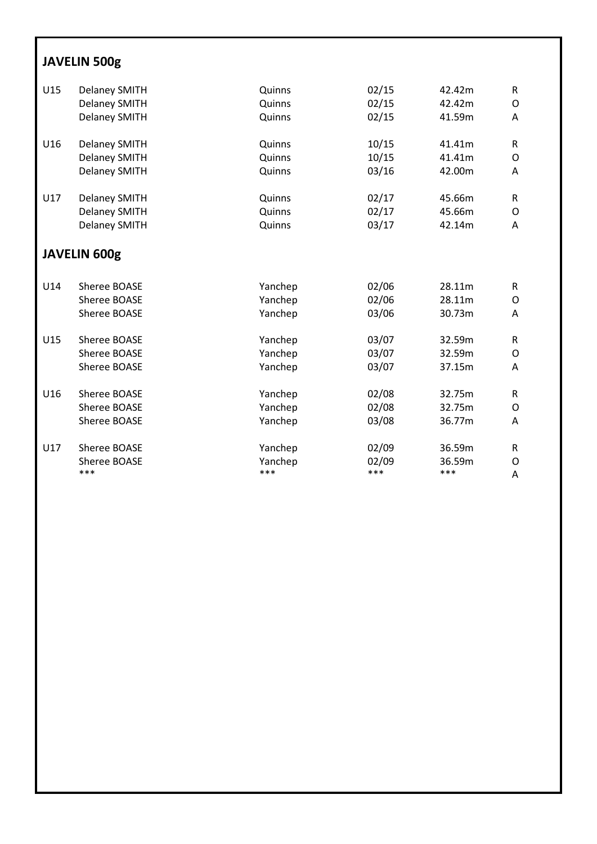# **JAVELIN 500g**

| U15 | <b>Delaney SMITH</b> | Quinns  | 02/15 | 42.42m | ${\sf R}$ |
|-----|----------------------|---------|-------|--------|-----------|
|     | <b>Delaney SMITH</b> | Quinns  | 02/15 | 42.42m | O         |
|     | <b>Delaney SMITH</b> | Quinns  | 02/15 | 41.59m | A         |
| U16 | <b>Delaney SMITH</b> | Quinns  | 10/15 | 41.41m | R         |
|     | <b>Delaney SMITH</b> | Quinns  | 10/15 | 41.41m | O         |
|     | <b>Delaney SMITH</b> | Quinns  | 03/16 | 42.00m | A         |
| U17 | <b>Delaney SMITH</b> | Quinns  | 02/17 | 45.66m | R         |
|     | <b>Delaney SMITH</b> | Quinns  | 02/17 | 45.66m | O         |
|     | <b>Delaney SMITH</b> | Quinns  | 03/17 | 42.14m | A         |
|     | <b>JAVELIN 600g</b>  |         |       |        |           |
| U14 | Sheree BOASE         | Yanchep | 02/06 | 28.11m | R         |
|     | Sheree BOASE         | Yanchep | 02/06 | 28.11m | 0         |
|     | Sheree BOASE         | Yanchep | 03/06 | 30.73m | Α         |
| U15 | Sheree BOASE         | Yanchep | 03/07 | 32.59m | R         |
|     | Sheree BOASE         | Yanchep | 03/07 | 32.59m | O         |
|     | Sheree BOASE         | Yanchep | 03/07 | 37.15m | A         |
| U16 | Sheree BOASE         | Yanchep | 02/08 | 32.75m | R         |
|     | Sheree BOASE         | Yanchep | 02/08 | 32.75m | O         |
|     | Sheree BOASE         | Yanchep | 03/08 | 36.77m | A         |
| U17 | Sheree BOASE         | Yanchep | 02/09 | 36.59m | R         |
|     | Sheree BOASE         | Yanchep | 02/09 | 36.59m | O         |
|     | ***                  | ***     | ***   | ***    | Α         |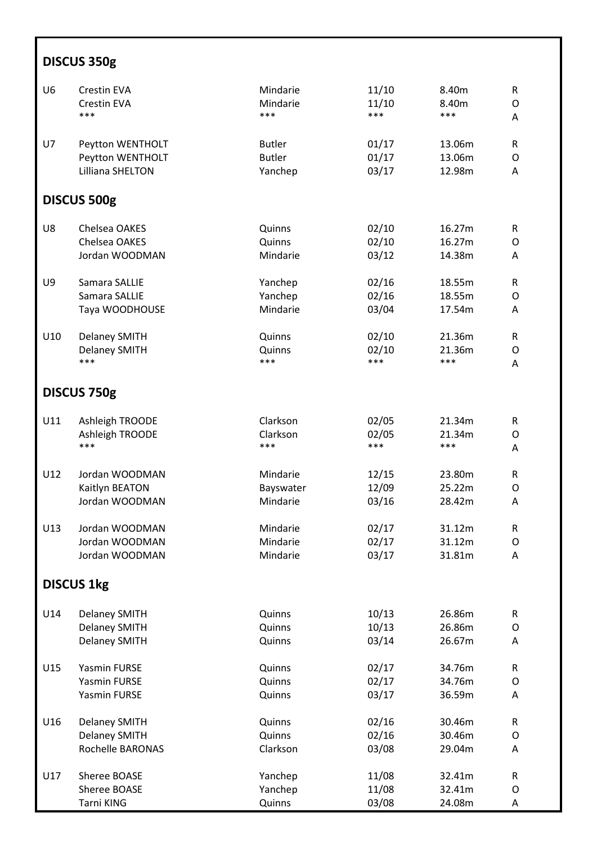| DISCUS 350g    |                      |               |       |        |              |  |  |
|----------------|----------------------|---------------|-------|--------|--------------|--|--|
| U <sub>6</sub> | <b>Crestin EVA</b>   | Mindarie      | 11/10 | 8.40m  | R            |  |  |
|                | <b>Crestin EVA</b>   | Mindarie      | 11/10 | 8.40m  | O            |  |  |
|                | ***                  | ***           | ***   | ***    | Α            |  |  |
| U7             | Peytton WENTHOLT     | <b>Butler</b> | 01/17 | 13.06m | R            |  |  |
|                | Peytton WENTHOLT     | <b>Butler</b> | 01/17 | 13.06m | O            |  |  |
|                | Lilliana SHELTON     | Yanchep       | 03/17 | 12.98m | Α            |  |  |
|                | DISCUS 500g          |               |       |        |              |  |  |
| U8             | Chelsea OAKES        | Quinns        | 02/10 | 16.27m | R            |  |  |
|                | Chelsea OAKES        | Quinns        | 02/10 | 16.27m | O            |  |  |
|                | Jordan WOODMAN       | Mindarie      | 03/12 | 14.38m | Α            |  |  |
| U9             | Samara SALLIE        | Yanchep       | 02/16 | 18.55m | R            |  |  |
|                | Samara SALLIE        | Yanchep       | 02/16 | 18.55m | O            |  |  |
|                | Taya WOODHOUSE       | Mindarie      | 03/04 | 17.54m | A            |  |  |
| U10            | Delaney SMITH        | Quinns        | 02/10 | 21.36m | R            |  |  |
|                | <b>Delaney SMITH</b> | Quinns        | 02/10 | 21.36m | O            |  |  |
|                | ***                  | ***           | ***   | ***    | Α            |  |  |
|                | DISCUS 750g          |               |       |        |              |  |  |
| U11            | Ashleigh TROODE      | Clarkson      | 02/05 | 21.34m | R            |  |  |
|                | Ashleigh TROODE      | Clarkson      | 02/05 | 21.34m | O            |  |  |
|                | ***                  | ***           | ***   | ***    | A            |  |  |
| U12            | Jordan WOODMAN       | Mindarie      | 12/15 | 23.80m | R            |  |  |
|                | Kaitlyn BEATON       | Bayswater     | 12/09 | 25.22m | O            |  |  |
|                | Jordan WOODMAN       | Mindarie      | 03/16 | 28.42m | Α            |  |  |
| U13            | Jordan WOODMAN       | Mindarie      | 02/17 | 31.12m | ${\sf R}$    |  |  |
|                | Jordan WOODMAN       | Mindarie      | 02/17 | 31.12m | O            |  |  |
|                | Jordan WOODMAN       | Mindarie      | 03/17 | 31.81m | A            |  |  |
|                | <b>DISCUS 1kg</b>    |               |       |        |              |  |  |
| U14            | <b>Delaney SMITH</b> | Quinns        | 10/13 | 26.86m | $\mathsf{R}$ |  |  |
|                | <b>Delaney SMITH</b> | Quinns        | 10/13 | 26.86m | O            |  |  |
|                | <b>Delaney SMITH</b> | Quinns        | 03/14 | 26.67m | Α            |  |  |
| U15            | <b>Yasmin FURSE</b>  | Quinns        | 02/17 | 34.76m | $\mathsf R$  |  |  |
|                | Yasmin FURSE         | Quinns        | 02/17 | 34.76m | O            |  |  |
|                | Yasmin FURSE         | Quinns        | 03/17 | 36.59m | Α            |  |  |
| U16            | <b>Delaney SMITH</b> | Quinns        | 02/16 | 30.46m | ${\sf R}$    |  |  |
|                | <b>Delaney SMITH</b> | Quinns        | 02/16 | 30.46m | O            |  |  |
|                | Rochelle BARONAS     | Clarkson      | 03/08 | 29.04m | Α            |  |  |
| U17            | Sheree BOASE         | Yanchep       | 11/08 | 32.41m | R            |  |  |
|                | Sheree BOASE         | Yanchep       | 11/08 | 32.41m | O            |  |  |
|                | Tarni KING           | Quinns        | 03/08 | 24.08m | Α            |  |  |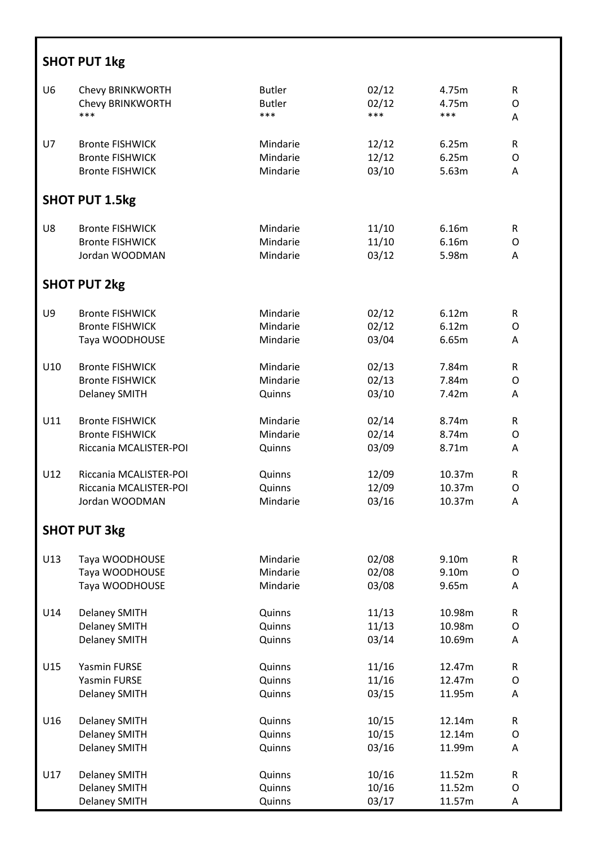|                | <b>SHOT PUT 1kg</b>    |               |       |        |              |  |  |  |
|----------------|------------------------|---------------|-------|--------|--------------|--|--|--|
| U <sub>6</sub> | Chevy BRINKWORTH       | <b>Butler</b> | 02/12 | 4.75m  | R            |  |  |  |
|                | Chevy BRINKWORTH       | <b>Butler</b> | 02/12 | 4.75m  | O            |  |  |  |
|                | ***                    | ***           | ***   | ***    | A            |  |  |  |
| U7             | <b>Bronte FISHWICK</b> | Mindarie      | 12/12 | 6.25m  | R            |  |  |  |
|                | <b>Bronte FISHWICK</b> | Mindarie      | 12/12 | 6.25m  | O            |  |  |  |
|                | <b>Bronte FISHWICK</b> | Mindarie      | 03/10 | 5.63m  | A            |  |  |  |
|                | <b>SHOT PUT 1.5kg</b>  |               |       |        |              |  |  |  |
| U8             | <b>Bronte FISHWICK</b> | Mindarie      | 11/10 | 6.16m  | R            |  |  |  |
|                | <b>Bronte FISHWICK</b> | Mindarie      | 11/10 | 6.16m  | O            |  |  |  |
|                | Jordan WOODMAN         | Mindarie      | 03/12 | 5.98m  | Α            |  |  |  |
|                | <b>SHOT PUT 2kg</b>    |               |       |        |              |  |  |  |
| U9             | <b>Bronte FISHWICK</b> | Mindarie      | 02/12 | 6.12m  | $\mathsf R$  |  |  |  |
|                | <b>Bronte FISHWICK</b> | Mindarie      | 02/12 | 6.12m  | O            |  |  |  |
|                | Taya WOODHOUSE         | Mindarie      | 03/04 | 6.65m  | A            |  |  |  |
| U10            | <b>Bronte FISHWICK</b> | Mindarie      | 02/13 | 7.84m  | R            |  |  |  |
|                | <b>Bronte FISHWICK</b> | Mindarie      | 02/13 | 7.84m  | O            |  |  |  |
|                | <b>Delaney SMITH</b>   | Quinns        | 03/10 | 7.42m  | A            |  |  |  |
| U11            | <b>Bronte FISHWICK</b> | Mindarie      | 02/14 | 8.74m  | R            |  |  |  |
|                | <b>Bronte FISHWICK</b> | Mindarie      | 02/14 | 8.74m  | O            |  |  |  |
|                | Riccania MCALISTER-POI | Quinns        | 03/09 | 8.71m  | A            |  |  |  |
| U12            | Riccania MCALISTER-POI | Quinns        | 12/09 | 10.37m | R            |  |  |  |
|                | Riccania MCALISTER-POI | Quinns        | 12/09 | 10.37m | O            |  |  |  |
|                | Jordan WOODMAN         | Mindarie      | 03/16 | 10.37m | A            |  |  |  |
|                | <b>SHOT PUT 3kg</b>    |               |       |        |              |  |  |  |
| U13            | Taya WOODHOUSE         | Mindarie      | 02/08 | 9.10m  | $\mathsf{R}$ |  |  |  |
|                | Taya WOODHOUSE         | Mindarie      | 02/08 | 9.10m  | O            |  |  |  |
|                | Taya WOODHOUSE         | Mindarie      | 03/08 | 9.65m  | A            |  |  |  |
| U14            | <b>Delaney SMITH</b>   | Quinns        | 11/13 | 10.98m | $\mathsf R$  |  |  |  |
|                | <b>Delaney SMITH</b>   | Quinns        | 11/13 | 10.98m | O            |  |  |  |
|                | <b>Delaney SMITH</b>   | Quinns        | 03/14 | 10.69m | A            |  |  |  |
| U15            | Yasmin FURSE           | Quinns        | 11/16 | 12.47m | $\mathsf R$  |  |  |  |
|                | Yasmin FURSE           | Quinns        | 11/16 | 12.47m | O            |  |  |  |
|                | <b>Delaney SMITH</b>   | Quinns        | 03/15 | 11.95m | A            |  |  |  |
| U16            | <b>Delaney SMITH</b>   | Quinns        | 10/15 | 12.14m | $\mathsf{R}$ |  |  |  |
|                | <b>Delaney SMITH</b>   | Quinns        | 10/15 | 12.14m | O            |  |  |  |
|                | <b>Delaney SMITH</b>   | Quinns        | 03/16 | 11.99m | A            |  |  |  |
| U17            | <b>Delaney SMITH</b>   | Quinns        | 10/16 | 11.52m | $\mathsf R$  |  |  |  |
|                | <b>Delaney SMITH</b>   | Quinns        | 10/16 | 11.52m | O            |  |  |  |
|                | <b>Delaney SMITH</b>   | Quinns        | 03/17 | 11.57m | Α            |  |  |  |